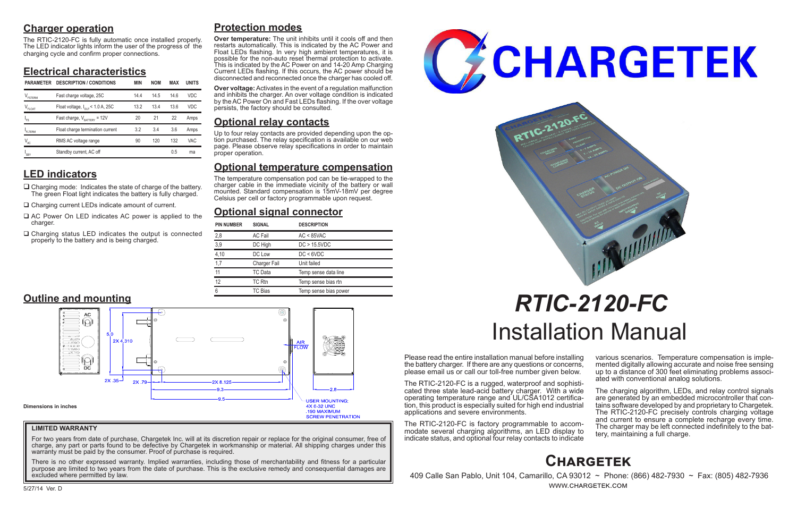# **Charger operation**

The RTIC-2120-FC is fully automatic once installed properly. The LED indicator lights inform the user of the progress of the charging cycle and confirm proper connections.

# **Electrical characteristics**

# **LED indicators**

- $\Box$  Charging mode: Indicates the state of charge of the battery. The green Float light indicates the battery is fully charged.
- □ Charging current LEDs indicate amount of current.

- $\Box$  AC Power On LED indicates AC power is applied to the charger.
- $\Box$  Charging status LED indicates the output is connected properly to the battery and is being charged.

Please read the entire installation manual before installing the battery charger. If there are any questions or concerns, please email us or call our toll-free number given below.

> The charging algorithm, LEDs, and relay control signals are generated by an embedded microcontroller that contains software developed by and proprietary to Chargetek. The RTIC-2120-FC precisely controls charging voltage and current to ensure a complete recharge every time. The charger may be left connected indefinitely to the bat- tery, maintaining a full charge.

The RTIC-2120-FC is a rugged, waterproof and sophisticated three state lead-acid battery charger. With a wide operating temperature range and UL/CSA1012 certification, this product is especially suited for high end industrial applications and severe environments.

The RTIC-2120-FC is factory programmable to accommodate several charging algorithms, an LED display to indicate status, and optional four relay contacts to indicate

various scenarios. Temperature compensation is imple- mented digitally allowing accurate and noise free sensing up to a distance of 300 feet eliminating problems associ- ated with conventional analog solutions.

# *RTIC-2120-FC* Installation Manual

# **Protection modes**

**Over temperature:** The unit inhibits until it cools off and then restarts automatically. This is indicated by the AC Power and Float LEDs flashing. In very high ambient temperatures, it is possible for the non-auto reset thermal protection to activate. This is indicated by the AC Power on and 14-20 Amp Charging Current LEDs flashing. If this occurs, the AC power should be disconnected and reconnected once the charger has cooled off.

**Over voltage:** Activates in the event of a regulation malfunction and inhibits the charger. An over voltage condition is indicated by the AC Power On and Fast LEDs flashing. If the over voltage persists, the factory should be consulted.

# **Optional relay contacts**

Up to four relay contacts are provided depending upon the op- tion purchased. The relay specification is available on our web page. Please observe relay specifications in order to maintain proper operation.

# **Optional temperature compensation**

The temperature compensation pod can be tie-wrapped to the charger cable in the immediate vicinity of the battery or wall mounted. Standard compensation is 15mV-18mV per degree Celsius per cell or factory programmable upon request.

# **Optional signal connector**



 409 Calle San Pablo, Unit 104, Camarillo, CA 93012 ~ Phone: (866) 482-7930 ~ Fax: (805) 482-7936 www.chargetek.com

| <b>PIN NUMBER</b> | <b>SIGNAL</b>       | <b>DESCRIPTION</b>    |
|-------------------|---------------------|-----------------------|
| 2,8               | <b>AC Fail</b>      | $AC < 85$ VAC         |
| 3,9               | DC High             | DC > 15.5VDC          |
| 4,10              | DC Low              | DC < 6VDC             |
| 1,7               | <b>Charger Fail</b> | Unit failed           |
| 11                | TC Data             | Temp sense data line  |
| 12                | TC Rtn              | Temp sense bias rtn   |
| 6                 | TC Bias             | Temp sense bias power |

| <b>PARAMETER</b>   | <b>DESCRIPTION / CONDITIONS</b>              | <b>MIN</b> | <b>NOM</b> | MAX  | <b>UNITS</b> |
|--------------------|----------------------------------------------|------------|------------|------|--------------|
| FSTERM             | Fast charge voltage, 25C                     | 144        | 14.5       | 14 6 | <b>VDC</b>   |
| V <sub>FLOAT</sub> | Float voltage, $I_{\text{out}}$ < 1.0 A, 25C | 13.2       | 13.4       | 136  | <b>VDC</b>   |
| l <sub>FS</sub>    | Fast charge, $V_{\text{raffry}} = 12V$       | 20         | 21         | 22   | Amps         |
| FITERM             | Float charge termination current             | 3.2        | 3.4        | 3.6  | Amps         |
| $V_{AC}$           | RMS AC voltage range                         | 90         | 120        | 132  | <b>VAC</b>   |
| SBY                | Standby current, AC off                      |            |            | 0.5  | ma           |



**Outline and mounting**

## **LIMITED WARRANTY**

For two years from date of purchase, Chargetek Inc. will at its discretion repair or replace for the original consumer, free of charge, any part or parts found to be defective by Chargetek in workmanship or material. All shipping charges under this warranty must be paid by the consumer. Proof of purchase is required.

There is no other expressed warranty. Implied warranties, including those of merchantability and fitness for a particular purpose are limited to two years from the date of purchase. This is the exclusive remedy and consequential damages are excluded where permitted by law.